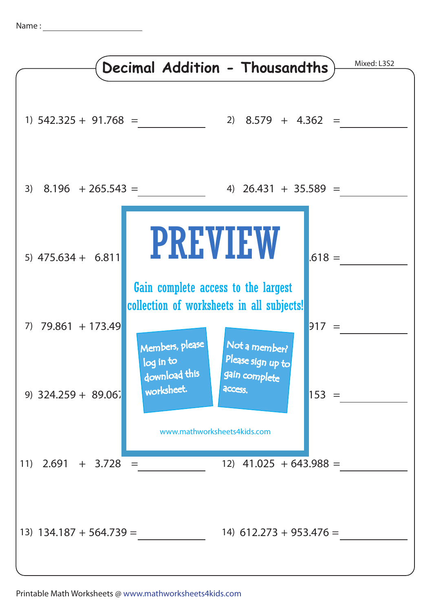